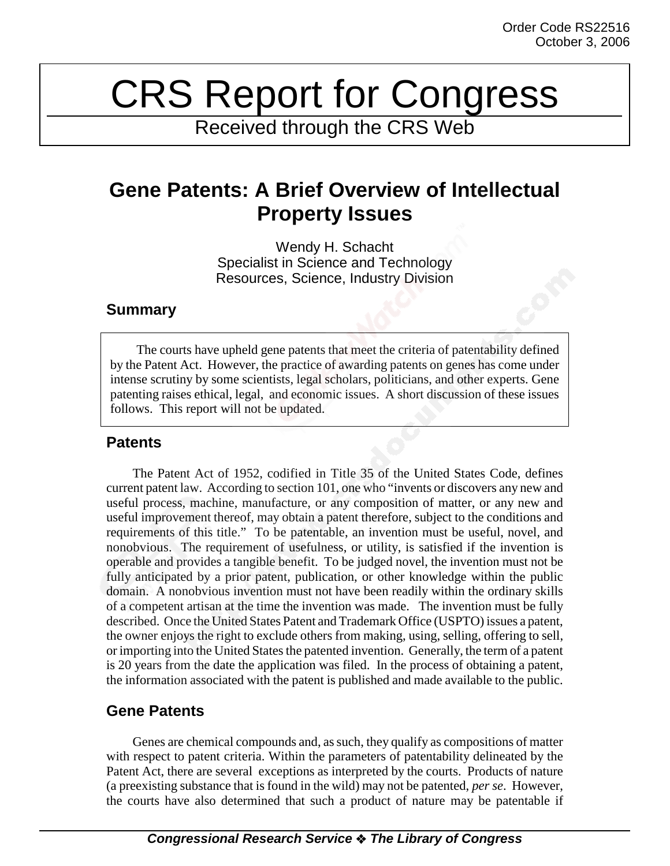# CRS Report for Congress

Received through the CRS Web

# **Gene Patents: A Brief Overview of Intellectual Property Issues**

Wendy H. Schacht Specialist in Science and Technology Resources, Science, Industry Division

### **Summary**

The courts have upheld gene patents that meet the criteria of patentability defined by the Patent Act. However, the practice of awarding patents on genes has come under intense scrutiny by some scientists, legal scholars, politicians, and other experts. Gene patenting raises ethical, legal, and economic issues. A short discussion of these issues follows. This report will not be updated.

# **Patents**

The Patent Act of 1952, codified in Title 35 of the United States Code, defines current patent law. According to section 101, one who "invents or discovers any new and useful process, machine, manufacture, or any composition of matter, or any new and useful improvement thereof, may obtain a patent therefore, subject to the conditions and requirements of this title." To be patentable, an invention must be useful, novel, and nonobvious. The requirement of usefulness, or utility, is satisfied if the invention is operable and provides a tangible benefit. To be judged novel, the invention must not be fully anticipated by a prior patent, publication, or other knowledge within the public domain. A nonobvious invention must not have been readily within the ordinary skills of a competent artisan at the time the invention was made. The invention must be fully described. Once the United States Patent and Trademark Office (USPTO) issues a patent, the owner enjoys the right to exclude others from making, using, selling, offering to sell, or importing into the United States the patented invention. Generally, the term of a patent is 20 years from the date the application was filed. In the process of obtaining a patent, the information associated with the patent is published and made available to the public.

# **Gene Patents**

Genes are chemical compounds and, as such, they qualify as compositions of matter with respect to patent criteria. Within the parameters of patentability delineated by the Patent Act, there are several exceptions as interpreted by the courts. Products of nature (a preexisting substance that is found in the wild) may not be patented, *per se*. However, the courts have also determined that such a product of nature may be patentable if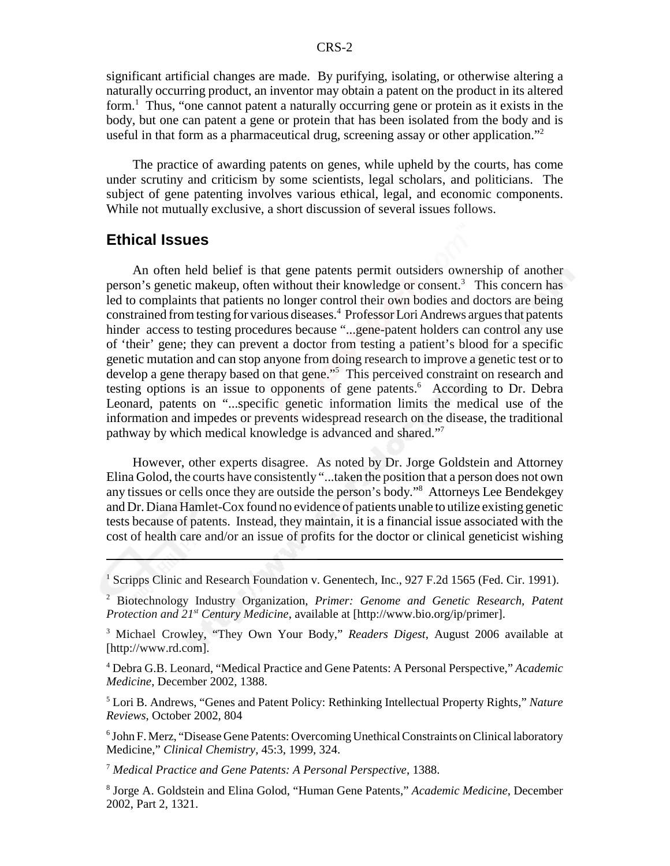significant artificial changes are made. By purifying, isolating, or otherwise altering a naturally occurring product, an inventor may obtain a patent on the product in its altered form.<sup>1</sup> Thus, "one cannot patent a naturally occurring gene or protein as it exists in the body, but one can patent a gene or protein that has been isolated from the body and is useful in that form as a pharmaceutical drug, screening assay or other application."<sup>2</sup>

The practice of awarding patents on genes, while upheld by the courts, has come under scrutiny and criticism by some scientists, legal scholars, and politicians. The subject of gene patenting involves various ethical, legal, and economic components. While not mutually exclusive, a short discussion of several issues follows.

#### **Ethical Issues**

An often held belief is that gene patents permit outsiders ownership of another person's genetic makeup, often without their knowledge or consent.<sup>3</sup> This concern has led to complaints that patients no longer control their own bodies and doctors are being constrained from testing for various diseases.4 Professor Lori Andrews argues that patents hinder access to testing procedures because "...gene-patent holders can control any use of 'their' gene; they can prevent a doctor from testing a patient's blood for a specific genetic mutation and can stop anyone from doing research to improve a genetic test or to develop a gene therapy based on that gene."<sup>5</sup> This perceived constraint on research and testing options is an issue to opponents of gene patents.<sup>6</sup> According to Dr. Debra Leonard, patents on "...specific genetic information limits the medical use of the information and impedes or prevents widespread research on the disease, the traditional pathway by which medical knowledge is advanced and shared."7

However, other experts disagree. As noted by Dr. Jorge Goldstein and Attorney Elina Golod, the courts have consistently "...taken the position that a person does not own any tissues or cells once they are outside the person's body."8 Attorneys Lee Bendekgey and Dr. Diana Hamlet-Cox found no evidence of patients unable to utilize existing genetic tests because of patents. Instead, they maintain, it is a financial issue associated with the cost of health care and/or an issue of profits for the doctor or clinical geneticist wishing

4 Debra G.B. Leonard, "Medical Practice and Gene Patents: A Personal Perspective," *Academic Medicine*, December 2002, 1388.

5 Lori B. Andrews, "Genes and Patent Policy: Rethinking Intellectual Property Rights," *Nature Reviews*, October 2002, 804

6 John F. Merz, "Disease Gene Patents: Overcoming Unethical Constraints on Clinical laboratory Medicine," *Clinical Chemistry*, 45:3, 1999, 324.

<sup>7</sup> *Medical Practice and Gene Patents: A Personal Perspective*, 1388.

8 Jorge A. Goldstein and Elina Golod, "Human Gene Patents," *Academic Medicine*, December 2002, Part 2, 1321.

<sup>&</sup>lt;sup>1</sup> Scripps Clinic and Research Foundation v. Genentech, Inc., 927 F.2d 1565 (Fed. Cir. 1991).

<sup>2</sup> Biotechnology Industry Organization, *Primer: Genome and Genetic Research, Patent Protection and 21st Century Medicine*, available at [http://www.bio.org/ip/primer].

<sup>3</sup> Michael Crowley, "They Own Your Body," *Readers Digest*, August 2006 available at [http://www.rd.com].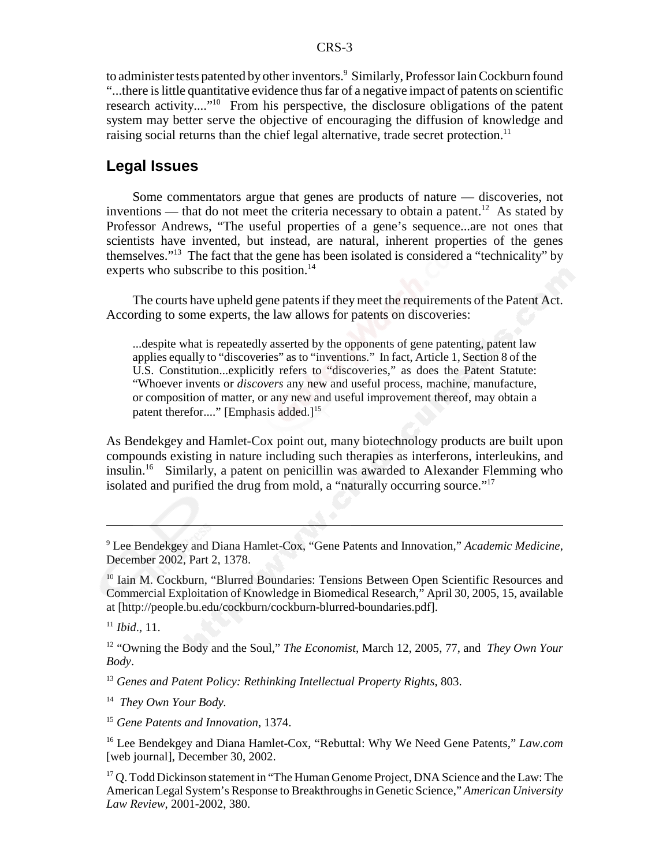to administer tests patented by other inventors.<sup>9</sup> Similarly, Professor Iain Cockburn found "...there is little quantitative evidence thus far of a negative impact of patents on scientific research activity...."10 From his perspective, the disclosure obligations of the patent system may better serve the objective of encouraging the diffusion of knowledge and raising social returns than the chief legal alternative, trade secret protection.<sup>11</sup>

#### **Legal Issues**

Some commentators argue that genes are products of nature — discoveries, not inventions — that do not meet the criteria necessary to obtain a patent.<sup>12</sup> As stated by Professor Andrews, "The useful properties of a gene's sequence...are not ones that scientists have invented, but instead, are natural, inherent properties of the genes themselves."13 The fact that the gene has been isolated is considered a "technicality" by experts who subscribe to this position.<sup>14</sup>

The courts have upheld gene patents if they meet the requirements of the Patent Act. According to some experts, the law allows for patents on discoveries:

...despite what is repeatedly asserted by the opponents of gene patenting, patent law applies equally to "discoveries" as to "inventions." In fact, Article 1, Section 8 of the U.S. Constitution...explicitly refers to "discoveries," as does the Patent Statute: "Whoever invents or *discovers* any new and useful process, machine, manufacture, or composition of matter, or any new and useful improvement thereof, may obtain a patent therefor...." [Emphasis added.]<sup>15</sup>

As Bendekgey and Hamlet-Cox point out, many biotechnology products are built upon compounds existing in nature including such therapies as interferons, interleukins, and insulin.16 Similarly, a patent on penicillin was awarded to Alexander Flemming who isolated and purified the drug from mold, a "naturally occurring source."17

9 Lee Bendekgey and Diana Hamlet-Cox, "Gene Patents and Innovation," *Academic Medicine*, December 2002, Part 2, 1378.

<sup>10</sup> Iain M. Cockburn, "Blurred Boundaries: Tensions Between Open Scientific Resources and Commercial Exploitation of Knowledge in Biomedical Research," April 30, 2005, 15, available at [http://people.bu.edu/cockburn/cockburn-blurred-boundaries.pdf].

<sup>11</sup> *Ibid*., 11.

12 "Owning the Body and the Soul," *The Economist*, March 12, 2005, 77, and *They Own Your Body*.

<sup>13</sup> *Genes and Patent Policy: Rethinking Intellectual Property Rights*, 803.

14 *They Own Your Body.*

<sup>15</sup> *Gene Patents and Innovation*, 1374.

16 Lee Bendekgey and Diana Hamlet-Cox, "Rebuttal: Why We Need Gene Patents," *Law.com* [web journal], December 30, 2002.

<sup>17</sup> Q. Todd Dickinson statement in "The Human Genome Project, DNA Science and the Law: The American Legal System's Response to Breakthroughs in Genetic Science," *American University Law Review*, 2001-2002, 380.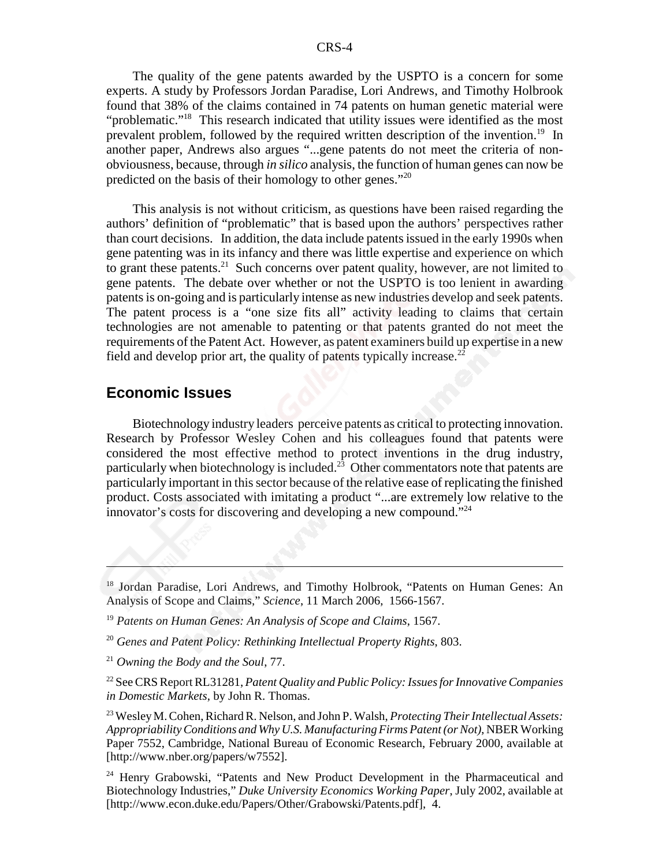The quality of the gene patents awarded by the USPTO is a concern for some experts. A study by Professors Jordan Paradise, Lori Andrews, and Timothy Holbrook found that 38% of the claims contained in 74 patents on human genetic material were "problematic."<sup>18</sup> This research indicated that utility issues were identified as the most prevalent problem, followed by the required written description of the invention.<sup>19</sup> In another paper, Andrews also argues "...gene patents do not meet the criteria of nonobviousness, because, through *in silico* analysis, the function of human genes can now be predicted on the basis of their homology to other genes."20

This analysis is not without criticism, as questions have been raised regarding the authors' definition of "problematic" that is based upon the authors' perspectives rather than court decisions. In addition, the data include patents issued in the early 1990s when gene patenting was in its infancy and there was little expertise and experience on which to grant these patents.<sup>21</sup> Such concerns over patent quality, however, are not limited to gene patents. The debate over whether or not the USPTO is too lenient in awarding patents is on-going and is particularly intense as new industries develop and seek patents. The patent process is a "one size fits all" activity leading to claims that certain technologies are not amenable to patenting or that patents granted do not meet the requirements of the Patent Act. However, as patent examiners build up expertise in a new field and develop prior art, the quality of patents typically increase.<sup>22</sup>

#### **Economic Issues**

Biotechnology industry leaders perceive patents as critical to protecting innovation. Research by Professor Wesley Cohen and his colleagues found that patents were considered the most effective method to protect inventions in the drug industry, particularly when biotechnology is included.<sup>23</sup> Other commentators note that patents are particularly important in this sector because of the relative ease of replicating the finished product. Costs associated with imitating a product "...are extremely low relative to the innovator's costs for discovering and developing a new compound."24

<sup>&</sup>lt;sup>18</sup> Jordan Paradise, Lori Andrews, and Timothy Holbrook, "Patents on Human Genes: An Analysis of Scope and Claims," *Science*, 11 March 2006, 1566-1567.

<sup>19</sup> *Patents on Human Genes: An Analysis of Scope and Claims*, 1567.

<sup>20</sup> *Genes and Patent Policy: Rethinking Intellectual Property Rights*, 803.

<sup>21</sup> *Owning the Body and the Soul*, 77.

<sup>22</sup> See CRS Report RL31281, *Patent Quality and Public Policy: Issues for Innovative Companies in Domestic Markets*, by John R. Thomas.

<sup>23</sup> Wesley M. Cohen, Richard R. Nelson, and John P. Walsh, *Protecting Their Intellectual Assets: Appropriability Conditions and Why U.S. Manufacturing Firms Patent (or Not)*, NBER Working Paper 7552, Cambridge, National Bureau of Economic Research, February 2000, available at [http://www.nber.org/papers/w7552].

<sup>&</sup>lt;sup>24</sup> Henry Grabowski, "Patents and New Product Development in the Pharmaceutical and Biotechnology Industries," *Duke University Economics Working Paper*, July 2002, available at [http://www.econ.duke.edu/Papers/Other/Grabowski/Patents.pdf], 4.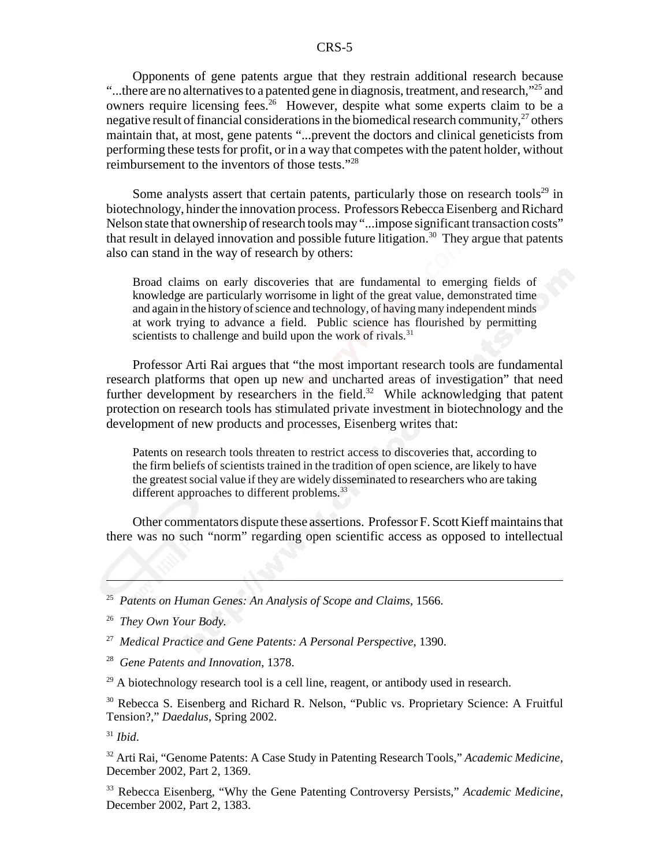Opponents of gene patents argue that they restrain additional research because "...there are no alternatives to a patented gene in diagnosis, treatment, and research,"<sup>25</sup> and" owners require licensing fees.<sup>26</sup> However, despite what some experts claim to be a negative result of financial considerations in the biomedical research community,  $27$  others maintain that, at most, gene patents "...prevent the doctors and clinical geneticists from performing these tests for profit, or in a way that competes with the patent holder, without reimbursement to the inventors of those tests."28

Some analysts assert that certain patents, particularly those on research tools<sup>29</sup> in biotechnology, hinder the innovation process. Professors Rebecca Eisenberg and Richard Nelson state that ownership of research tools may "...impose significant transaction costs" that result in delayed innovation and possible future litigation.<sup>30</sup> They argue that patents also can stand in the way of research by others:

Broad claims on early discoveries that are fundamental to emerging fields of knowledge are particularly worrisome in light of the great value, demonstrated time and again in the history of science and technology, of having many independent minds at work trying to advance a field. Public science has flourished by permitting scientists to challenge and build upon the work of rivals. $31$ 

Professor Arti Rai argues that "the most important research tools are fundamental research platforms that open up new and uncharted areas of investigation" that need further development by researchers in the field.<sup>32</sup> While acknowledging that patent protection on research tools has stimulated private investment in biotechnology and the development of new products and processes, Eisenberg writes that:

Patents on research tools threaten to restrict access to discoveries that, according to the firm beliefs of scientists trained in the tradition of open science, are likely to have the greatest social value if they are widely disseminated to researchers who are taking different approaches to different problems.<sup>33</sup>

Other commentators dispute these assertions. Professor F. Scott Kieff maintains that there was no such "norm" regarding open scientific access as opposed to intellectual

25 *Patents on Human Genes: An Analysis of Scope and Claims*, 1566.

26 *They Own Your Body.*

27 *Medical Practice and Gene Patents: A Personal Perspective*, 1390.

28 *Gene Patents and Innovation*, 1378.

 $29$  A biotechnology research tool is a cell line, reagent, or antibody used in research.

<sup>30</sup> Rebecca S. Eisenberg and Richard R. Nelson, "Public vs. Proprietary Science: A Fruitful Tension?," *Daedalus*, Spring 2002.

<sup>31</sup> *Ibid*.

32 Arti Rai, "Genome Patents: A Case Study in Patenting Research Tools," *Academic Medicine*, December 2002, Part 2, 1369.

33 Rebecca Eisenberg, "Why the Gene Patenting Controversy Persists," *Academic Medicine*, December 2002, Part 2, 1383.